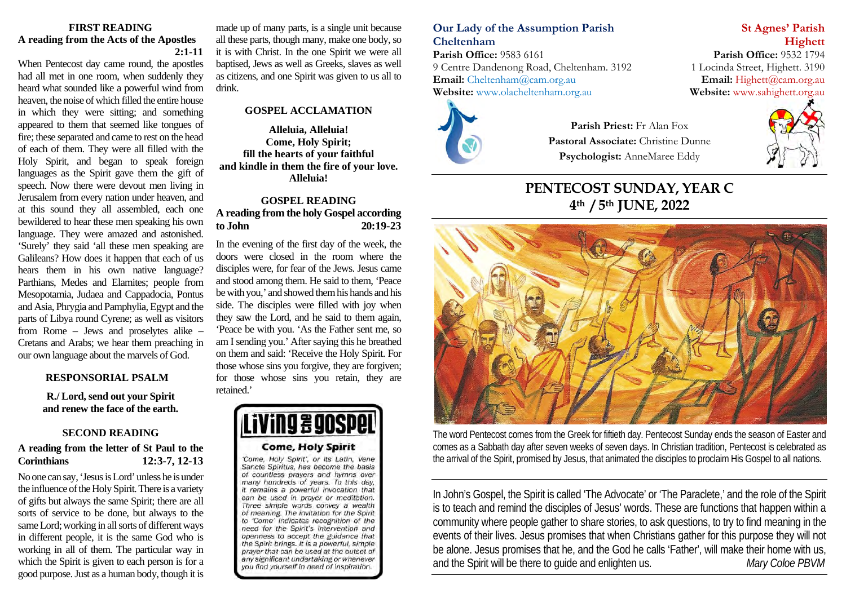#### **FIRST READING A reading from the Acts of the Apostles 2:1-11**

When Pentecost day came round, the apostles had all met in one room, when suddenly they heard what sounded like a powerful wind from heaven, the noise of which filled the entire house in which they were sitting; and something appeared to them that seemed like tongues of fire; these separated and came to rest on the head of each of them. They were all filled with the Holy Spirit, and began to speak foreign languages as the Spirit gave them the gift of speech. Now there were devout men living in Jerusalem from every nation under heaven, and at this sound they all assembled, each one bewildered to hear these men speaking his own language. They were amazed and astonished. 'Surely' they said 'all these men speaking are Galileans? How does it happen that each of us hears them in his own native language? Parthians, Medes and Elamites; people from Mesopotamia, Judaea and Cappadocia, Pontus and Asia, Phrygia and Pamphylia, Egypt and the parts of Libya round Cyrene; as well as visitors from Rome – Jews and proselytes alike – Cretans and Arabs; we hear them preaching in our own language about the marvels of God.

#### **RESPONSORIAL PSALM**

**R./ Lord, send out your Spirit and renew the face of the earth.** 

#### **SECOND READING**

### **A reading from the letter of St Paul to the Corinthians 12:3-7, 12-13**

No one can say, 'Jesus is Lord' unless he is under the influence of the Holy Spirit. There is a variety of gifts but always the same Spirit; there are all sorts of service to be done, but always to the same Lord; working in all sorts of different ways in different people, it is the same God who is working in all of them. The particular way in which the Spirit is given to each person is for a good purpose. Just as a human body, though it is

made up of many parts, is a single unit because all these parts, though many, make one body, so it is with Christ. In the one Spirit we were all baptised, Jews as well as Greeks, slaves as well as citizens, and one Spirit was given to us all to drink.

#### **GOSPEL ACCLAMATION**

**Alleluia, Alleluia! Come, Holy Spirit; fill the hearts of your faithful and kindle in them the fire of your love. Alleluia!**

# **GOSPEL READING A reading from the holy Gospel according to John 20:19-23**

In the evening of the first day of the week, the doors were closed in the room where the disciples were, for fear of the Jews. Jesus came and stood among them. He said to them, 'Peace be with you,' and showed them his hands and his side. The disciples were filled with joy when they saw the Lord, and he said to them again, 'Peace be with you. 'As the Father sent me, so am I sending you.' After saying this he breathed on them and said: 'Receive the Holy Spirit. For those whose sins you forgive, they are forgiven; for those whose sins you retain, they are retained.'

# **J # 90SPe**

#### **Come, Holy Spirit**

'Come, Holy Spirit', or its Latin, Vene Sancte Spiritus, has become the basis of countless prayers and hymns over many hundreds of years. To this day, it remains a powerful invocation that can be used in prayer or meditation. Three simple words convey a wealth of meaning. The invitation for the Spirit to 'Come' indicates recognition of the need for the Spirit's intervention and openness to accept the guidance that the Spirit brings. It is a powerful, simple prayer that can be used at the outset of any significant undertaking or whenever you find yourself in need of inspiration.

# **Our Lady of the Assumption Parish St Agnes' Parish Cheltenham Highett**

**Parish Office:** 9583 6161 **Parish Office:** 9532 1794 9 Centre Dandenong Road, Cheltenham. 3192 1 Locinda Street, Highett. 3190 **Email:** [Cheltenham@cam.org.au](mailto:Cheltenham@cam.org.au) **Email:** [Highett@cam.org.au](mailto:Highett@cam.org.au) **Website:** www.olacheltenham.org.au **Website:** www.sahighett.org.au Website: www.olacheltenham.org.au



**Parish Priest:** Fr Alan Fox **Pastoral Associate:** Christine Dunne **Psychologist:** AnneMaree Eddy

# **PENTECOST SUNDAY, YEAR C 4th / 5th JUNE, 2022**



The word Pentecost comes from the Greek for fiftieth day. Pentecost Sunday ends the season of Easter and comes as a Sabbath day after seven weeks of seven days. In Christian tradition, Pentecost is celebrated as the arrival of the Spirit, promised by Jesus, that animated the disciples to proclaim His Gospel to all nations.

In John's Gospel, the Spirit is called 'The Advocate' or 'The Paraclete,' and the role of the Spirit is to teach and remind the disciples of Jesus' words. These are functions that happen within a community where people gather to share stories, to ask questions, to try to find meaning in the events of their lives. Jesus promises that when Christians gather for this purpose they will not be alone. Jesus promises that he, and the God he calls 'Father', will make their home with us, and the Spirit will be there to guide and enlighten us. *Mary Coloe PBVM*